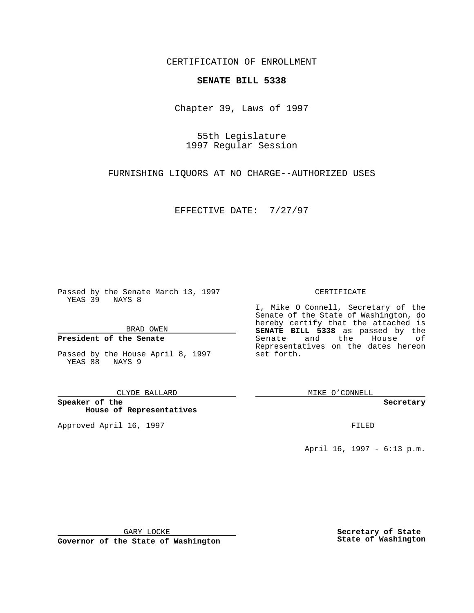CERTIFICATION OF ENROLLMENT

# **SENATE BILL 5338**

Chapter 39, Laws of 1997

55th Legislature 1997 Regular Session

FURNISHING LIQUORS AT NO CHARGE--AUTHORIZED USES

EFFECTIVE DATE: 7/27/97

Passed by the Senate March 13, 1997 YEAS 39 NAYS 8

BRAD OWEN

### **President of the Senate**

Passed by the House April 8, 1997 YEAS 88 NAYS 9

CLYDE BALLARD

**Speaker of the House of Representatives**

Approved April 16, 1997 **FILED** 

### CERTIFICATE

I, Mike O Connell, Secretary of the Senate of the State of Washington, do hereby certify that the attached is **SENATE BILL 5338** as passed by the Senate and the House of Representatives on the dates hereon set forth.

MIKE O'CONNELL

#### **Secretary**

April 16, 1997 - 6:13 p.m.

GARY LOCKE

**Governor of the State of Washington**

**Secretary of State State of Washington**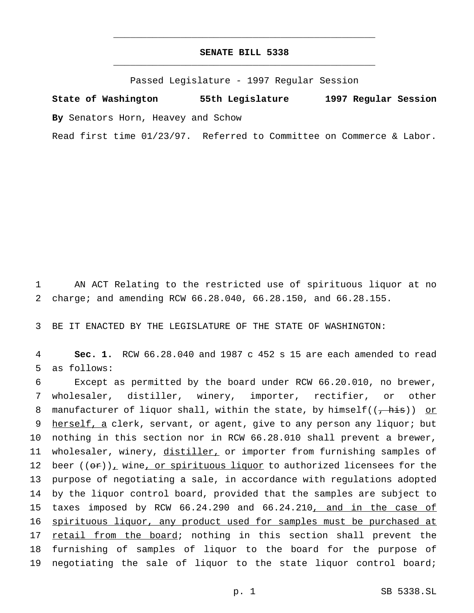## **SENATE BILL 5338** \_\_\_\_\_\_\_\_\_\_\_\_\_\_\_\_\_\_\_\_\_\_\_\_\_\_\_\_\_\_\_\_\_\_\_\_\_\_\_\_\_\_\_\_\_\_\_

\_\_\_\_\_\_\_\_\_\_\_\_\_\_\_\_\_\_\_\_\_\_\_\_\_\_\_\_\_\_\_\_\_\_\_\_\_\_\_\_\_\_\_\_\_\_\_

Passed Legislature - 1997 Regular Session

**State of Washington 55th Legislature 1997 Regular Session By** Senators Horn, Heavey and Schow

Read first time 01/23/97. Referred to Committee on Commerce & Labor.

1 AN ACT Relating to the restricted use of spirituous liquor at no 2 charge; and amending RCW 66.28.040, 66.28.150, and 66.28.155.

3 BE IT ENACTED BY THE LEGISLATURE OF THE STATE OF WASHINGTON:

4 **Sec. 1.** RCW 66.28.040 and 1987 c 452 s 15 are each amended to read 5 as follows:

6 Except as permitted by the board under RCW 66.20.010, no brewer, 7 wholesaler, distiller, winery, importer, rectifier, or other 8 manufacturer of liquor shall, within the state, by himself( $(\frac{1}{f}$ his)) or 9 herself, a clerk, servant, or agent, give to any person any liquor; but 10 nothing in this section nor in RCW 66.28.010 shall prevent a brewer, 11 wholesaler, winery, distiller, or importer from furnishing samples of 12 beer  $((or))_+$  wine, or spirituous liquor to authorized licensees for the 13 purpose of negotiating a sale, in accordance with regulations adopted 14 by the liquor control board, provided that the samples are subject to 15 taxes imposed by RCW 66.24.290 and 66.24.210, and in the case of 16 spirituous liquor, any product used for samples must be purchased at 17 retail from the board; nothing in this section shall prevent the 18 furnishing of samples of liquor to the board for the purpose of 19 negotiating the sale of liquor to the state liquor control board;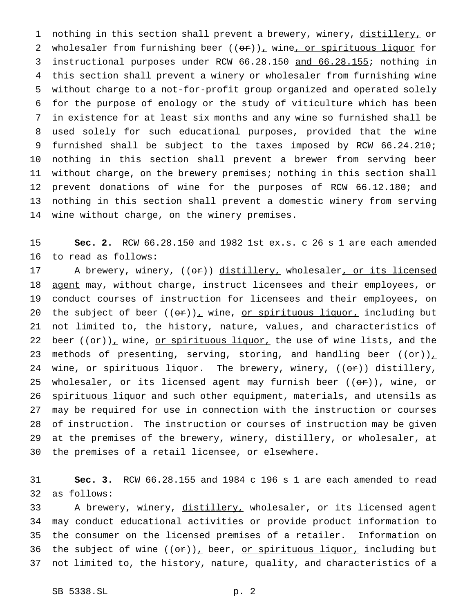1 nothing in this section shall prevent a brewery, winery, distillery, or 2 wholesaler from furnishing beer  $((or))_+$  wine, or spirituous liquor for instructional purposes under RCW 66.28.150 and 66.28.155; nothing in this section shall prevent a winery or wholesaler from furnishing wine without charge to a not-for-profit group organized and operated solely for the purpose of enology or the study of viticulture which has been in existence for at least six months and any wine so furnished shall be used solely for such educational purposes, provided that the wine furnished shall be subject to the taxes imposed by RCW 66.24.210; nothing in this section shall prevent a brewer from serving beer without charge, on the brewery premises; nothing in this section shall prevent donations of wine for the purposes of RCW 66.12.180; and nothing in this section shall prevent a domestic winery from serving wine without charge, on the winery premises.

 **Sec. 2.** RCW 66.28.150 and 1982 1st ex.s. c 26 s 1 are each amended to read as follows:

17 A brewery, winery, ((or)) distillery, wholesaler, or its licensed 18 agent may, without charge, instruct licensees and their employees, or conduct courses of instruction for licensees and their employees, on 20 the subject of beer  $((\theta \cdot r))_T$  wine, or spirituous liquor, including but not limited to, the history, nature, values, and characteristics of 22 beer  $((\theta \hat{r}))_+$  wine, or spirituous liquor, the use of wine lists, and the 23 methods of presenting, serving, storing, and handling beer  $((\theta \cdot \hat{r}))_+$ 24 wine, or spirituous liquor. The brewery, winery, ((or)) distillery, 25 wholesaler, or its licensed agent may furnish beer ((or)), wine, or 26 spirituous liquor and such other equipment, materials, and utensils as may be required for use in connection with the instruction or courses of instruction. The instruction or courses of instruction may be given 29 at the premises of the brewery, winery, distillery, or wholesaler, at the premises of a retail licensee, or elsewhere.

 **Sec. 3.** RCW 66.28.155 and 1984 c 196 s 1 are each amended to read as follows:

33 A brewery, winery, distillery, wholesaler, or its licensed agent may conduct educational activities or provide product information to the consumer on the licensed premises of a retailer. Information on 36 the subject of wine  $((\theta \cdot \tau))_T$  beer, <u>or spirituous liquor,</u> including but not limited to, the history, nature, quality, and characteristics of a